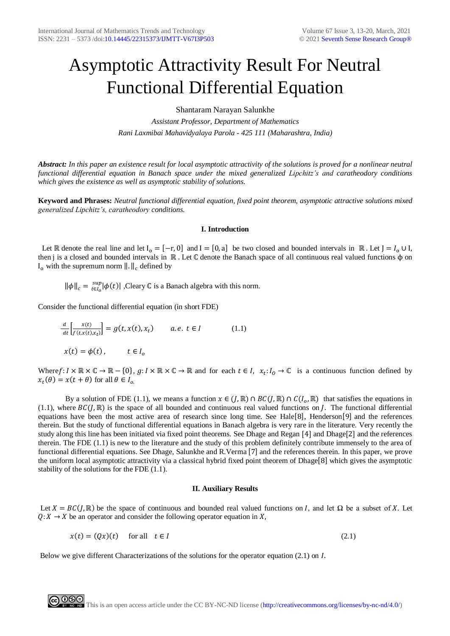# Asymptotic Attractivity Result For Neutral Functional Differential Equation

Shantaram Narayan Salunkhe

*Assistant Professor, Department of Mathematics Rani Laxmibai Mahavidyalaya Parola - 425 111 (Maharashtra, India)*

*Abstract: In this paper an existence result for local asymptotic attractivity of the solutions is proved for a nonlinear neutral functional differential equation in Banach space under the mixed generalized Lipchitz's and caratheodory conditions which gives the existence as well as asymptotic stability of solutions.* 

**Keyword and Phrases:** *Neutral functional differential equation, fixed point theorem, asymptotic attractive solutions mixed generalized Lipchitz's, caratheodory conditions.*

## **I. Introduction**

Let ℝ denote the real line and let  $I_0 = [-r, 0]$  and  $I = [0, a]$  be two closed and bounded intervals in ℝ. Let  $J = I_0 \cup I$ , then j is a closed and bounded intervals in R. Let C denote the Banach space of all continuous real valued functions φ on  $I_0$  with the supremum norm  $\| \cdot \|_c$  defined by

 $\|\phi\|_c = \frac{sup}{t \in I_o} |\phi(t)|$  $\int_{c_{\text{F}}/c}^{sup} |\phi(t)|$ , Cleary C is a Banach algebra with this norm.

Consider the functional differential equation (in short FDE)

$$
\frac{d}{dt} \left[ \frac{x(t)}{f(t, x(t), x_t)} \right] = g(t, x(t), x_t) \qquad a.e. \ t \in I \tag{1.1}
$$
\n
$$
x(t) = \phi(t), \qquad t \in I_0
$$

Where  $f: I \times \mathbb{R} \times \mathbb{C} \to \mathbb{R} - \{0\}, g: I \times \mathbb{R} \times \mathbb{C} \to \mathbb{R}$  and for each  $t \in I$ ,  $x_t: I_0 \to \mathbb{C}$  is a continuous function defined by  $x_t(\theta) = x(t + \theta)$  for all  $\theta \in I_{\rho}$ .

By a solution of FDE (1.1), we means a function  $x \in (J, \mathbb{R}) \cap BC(J, \mathbb{R}) \cap C(I_0, \mathbb{R})$  that satisfies the equations in (1.1), where  $BC(J, \mathbb{R})$  is the space of all bounded and continuous real valued functions on *J*. The functional differential equations have been the most active area of research since long time. See Hale[8], Henderson[9] and the references therein. But the study of functional differential equations in Banach algebra is very rare in the literature. Very recently the study along this line has been initiated via fixed point theorems. See Dhage and Regan [4] and Dhage[2] and the references therein. The FDE (1.1) is new to the literature and the study of this problem definitely contribute immensely to the area of functional differential equations. See Dhage, Salunkhe and R.Verma [7] and the references therein. In this paper, we prove the uniform local asymptotic attractivity via a classical hybrid fixed point theorem of Dhage[8] which gives the asymptotic stability of the solutions for the FDE (1.1).

### **II. Auxiliary Results**

Let  $X = BC(J, \mathbb{R})$  be the space of continuous and bounded real valued functions on I, and let  $\Omega$  be a subset of X. Let  $Q: X \to X$  be an operator and consider the following operator equation in X,

$$
x(t) = (Qx)(t) \quad \text{for all} \quad t \in I \tag{2.1}
$$

Below we give different Characterizations of the solutions for the operator equation  $(2.1)$  on  $I$ .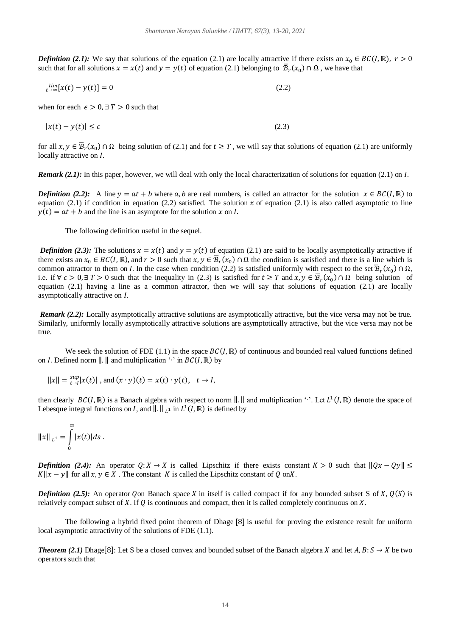*Definition (2.1):* We say that solutions of the equation (2.1) are locally attractive if there exists an  $x_0 \in BC(I, \mathbb{R})$ ,  $r > 0$ such that for all solutions  $x = x(t)$  and  $y = y(t)$  of equation (2.1) belonging to  $\overline{B}_r(x_0) \cap \Omega$ , we have that

$$
\lim_{t \to \infty} [x(t) - y(t)] = 0 \tag{2.2}
$$

when for each  $\epsilon > 0$ ,  $\exists T > 0$  such that

$$
|x(t) - y(t)| \le \epsilon \tag{2.3}
$$

for all  $x, y \in \overline{\mathcal{B}}_r(x_0) \cap \Omega$  being solution of (2.1) and for  $t \geq T$ , we will say that solutions of equation (2.1) are uniformly locally attractive on I.

*Remark (2.1):* In this paper, however, we will deal with only the local characterization of solutions for equation (2.1) on *I*.

*Definition (2.2):* A line  $y = at + b$  where a, b are real numbers, is called an attractor for the solution  $x \in BC(I, \mathbb{R})$  to equation (2.1) if condition in equation (2.2) satisfied. The solution x of equation (2.1) is also called asymptotic to line  $v(t) = at + b$  and the line is an asymptote for the solution x on I.

The following definition useful in the sequel.

*Definition (2.3):* The solutions  $x = x(t)$  and  $y = y(t)$  of equation (2.1) are said to be locally asymptotically attractive if there exists an  $x_0 \in BC(I, \mathbb{R})$ , and  $r > 0$  such that  $x, y \in \overline{B}_r(x_0) \cap \Omega$  the condition is satisfied and there is a line which is common attractor to them on *I*. In the case when condition (2.2) is satisfied uniformly with respect to the set  $\overline{B}_r(x_0) \cap \Omega$ , i.e. if  $\forall \epsilon > 0$ , ∃  $T > 0$  such that the inequality in (2.3) is satisfied for  $t \geq T$  and  $x, y \in \overline{\mathcal{B}}_r(x_0) \cap \Omega$  being solution of equation (2.1) having a line as a common attractor, then we will say that solutions of equation (2.1) are locally asymptotically attractive on  $I$ .

*Remark (2.2):* Locally asymptotically attractive solutions are asymptotically attractive, but the vice versa may not be true. Similarly, uniformly locally asymptotically attractive solutions are asymptotically attractive, but the vice versa may not be true.

We seek the solution of FDE (1.1) in the space  $BC(I, \mathbb{R})$  of continuous and bounded real valued functions defined on *I*. Defined norm  $\parallel$ .  $\parallel$  and multiplication  $\cdot \cdot$  in  $BC(I, \mathbb{R})$  by

$$
||x|| = \sup_{t \to l} |x(t)|
$$
, and  $(x \cdot y)(t) = x(t) \cdot y(t)$ ,  $t \to l$ ,

then clearly  $BC(I, \mathbb{R})$  is a Banach algebra with respect to norm  $\| \cdot \|$  and multiplication ' $\cdot \cdot$ . Let  $L^1(I, \mathbb{R})$  denote the space of Lebesque integral functions on *I*, and  $\|\cdot\|_{L^1}$  in  $L^1(I, \mathbb{R})$  is defined by

$$
||x||_{L^1} = \int_{0}^{\infty} |x(t)| ds.
$$

*Definition (2.4):* An operator  $Q: X \to X$  is called Lipschitz if there exists constant  $K > 0$  such that  $||Qx - Qy|| \le$  $K||x - y||$  for all  $x, y \in X$ . The constant K is called the Lipschitz constant of Q onX.

*Definition (2.5):* An operator Oon Banach space X in itself is called compact if for any bounded subset S of X,  $O(S)$  is relatively compact subset of X. If  $\theta$  is continuous and compact, then it is called completely continuous on X.

The following a hybrid fixed point theorem of Dhage [8] is useful for proving the existence result for uniform local asymptotic attractivity of the solutions of FDE (1.1).

*Theorem (2.1)* Dhage[8]: Let S be a closed convex and bounded subset of the Banach algebra X and let  $A, B: S \to X$  be two operators such that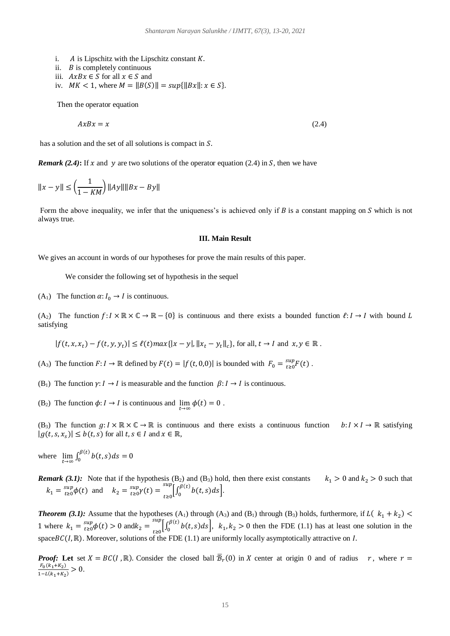- i.  $\vec{A}$  is Lipschitz with the Lipschitz constant  $\vec{K}$ .
- ii.  $\overline{B}$  is completely continuous
- iii.  $AxBx \in S$  for all  $x \in S$  and
- iv.  $MK < 1$ , where  $M = ||B(S)|| = \sup{||Bx||: x \in S}$ .

Then the operator equation

$$
AxBx = x \tag{2.4}
$$

has a solution and the set of all solutions is compact in  $S$ .

*Remark* (2.4): If x and y are two solutions of the operator equation (2.4) in S, then we have

$$
||x - y|| \le \left(\frac{1}{1 - KM}\right) ||Ay|| ||Bx - By||
$$

Form the above inequality, we infer that the uniqueness's is achieved only if  $B$  is a constant mapping on  $S$  which is not always true.

### **III. Main Result**

We gives an account in words of our hypotheses for prove the main results of this paper.

We consider the following set of hypothesis in the sequel

(A<sub>1</sub>) The function  $\alpha: I_0 \to I$  is continuous.

(A<sub>2</sub>) The function  $f: I \times \mathbb{R} \times \mathbb{C} \to \mathbb{R} - \{0\}$  is continuous and there exists a bounded function  $\ell: I \to I$  with bound L satisfying

$$
|f(t, x, x_t) - f(t, y, y_t)| \le \ell(t) \max\{|x - y|, \|x_t - y_t\|_c\},
$$
 for all,  $t \to I$  and  $x, y \in \mathbb{R}$ .

- (A<sub>3</sub>) The function  $F: I \to \mathbb{R}$  defined by  $F(t) = |f(t, 0, 0)|$  is bounded with  $F_0 = \frac{\sup}{t \ge 0} F(t)$  $\sup_{t>0} F(t)$ .
- (B<sub>1</sub>) The function  $\gamma: I \to I$  is measurable and the function  $\beta: I \to I$  is continuous.
- (B<sub>2</sub>) The function  $\phi: I \to I$  is continuous and  $\lim_{t \to \infty} \phi(t) = 0$ .

(B<sub>3</sub>) The function  $g: I \times \mathbb{R} \times \mathbb{C} \to \mathbb{R}$  is continuous and there exists a continuous function  $b: I \times I \to \mathbb{R}$  satisfying  $|g(t, s, x_s)| \leq b(t, s)$  for all  $t, s \in I$  and  $x \in \mathbb{R}$ ,

where  $\lim_{t \to \infty} \int_0^{\beta(t)} b(t, s) ds = 0$ 0

*Remark (3.1):* Note that if the hypothesis (B<sub>2</sub>) and (B<sub>3</sub>) hold, then there exist constants  $k_1 > 0$  and  $k_2 > 0$  such that  $k_1 = \frac{\sup}{t \ge 0} \phi(t)$  $\sup_{t \ge 0} \phi(t)$  and  $k_2 = \sup_{t \ge 0} \gamma(t) = \sup_{t \ge 0} \left[ \int_0^{\beta(t)} b(t, s) ds \right]$  $\int_{0}^{sup} \left[ \int_{0}^{\beta(t)} b(t,s) ds \right].$ 

**Theorem (3.1):** Assume that the hypotheses  $(A_1)$  through  $(A_3)$  and  $(B_1)$  through  $(B_3)$  holds, furthermore, if  $L((k_1 + k_2)$ 1 where  $k_1 = \frac{\sup}{t \ge 0} \phi(t) > 0$  and  $k_2 = \frac{\sup}{t \ge 0} \left[ \int_0^{\beta(t)} b(t, s) ds \right]$  $\int_0^{\sup} \left[ \int_0^{\beta(t)} b(t,s) ds \right]$ ,  $k_1, k_2 > 0$  then the FDE (1.1) has at least one solution in the space  $BC(I, \mathbb{R})$ . Moreover, solutions of the FDE (1.1) are uniformly locally asymptotically attractive on I.

*Proof:* Let set  $X = BC(I, \mathbb{R})$ . Consider the closed ball  $\overline{B}_r(0)$  in X center at origin 0 and of radius r, where  $r =$  $F_0(k_1+K_2)$  $\frac{r_0(k_1+k_2)}{1-L(k_1+k_2)}>0.$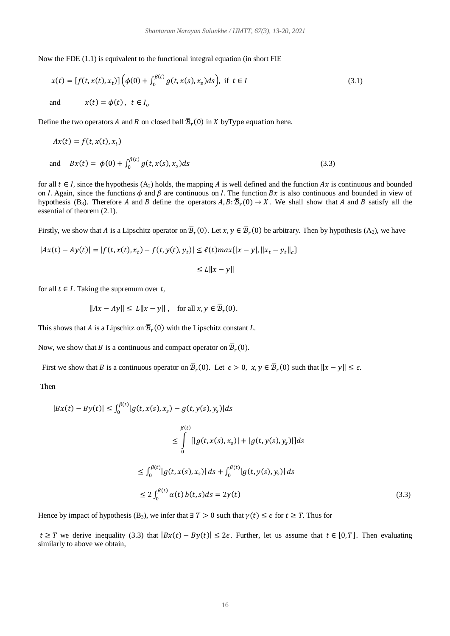Now the FDE (1.1) is equivalent to the functional integral equation (in short FIE

$$
x(t) = [f(t, x(t), x_t)] \left( \phi(0) + \int_0^{\beta(t)} g(t, x(s), x_s) ds \right), \text{ if } t \in I
$$
  
and 
$$
x(t) = \phi(t), \ t \in I_0
$$
 (3.1)

Define the two operators  $A$  and  $B$  on closed ball  $\overline{\mathcal{B}}_r(0)$  in  $X$  byType equation here.

$$
Ax(t) = f(t, x(t), x_t)
$$
  
and 
$$
Bx(t) = \phi(0) + \int_0^{\beta(t)} g(t, x(s), x_s) ds
$$
 (3.3)

for all  $t \in I$ , since the hypothesis (A<sub>2</sub>) holds, the mapping A is well defined and the function Ax is continuous and bounded on *I*. Again, since the functions  $\phi$  and  $\beta$  are continuous on *I*. The function  $Bx$  is also continuous and bounded in view of hypothesis (B<sub>3</sub>). Therefore A and B define the operators  $A, B: \overline{B}_r(0) \to X$ . We shall show that A and B satisfy all the essential of theorem (2.1).

Firstly, we show that A is a Lipschitz operator on  $\bar{B}_r(0)$ . Let  $x, y \in \bar{B}_r(0)$  be arbitrary. Then by hypothesis  $(A_2)$ , we have

$$
|Ax(t) - Ay(t)| = |f(t, x(t), x_t) - f(t, y(t), y_t)| \le \ell(t) \max\{|x - y|, \|x_t - y_t\|_c\}
$$
  

$$
\le L \|x - y\|
$$

$$
\leq L||x - y||
$$

for all  $t \in I$ . Taking the supremum over  $t$ ,

$$
||Ax - Ay|| \le L||x - y||, \text{ for all } x, y \in \overline{\mathcal{B}}_r(0).
$$

This shows that A is a Lipschitz on  $\overline{B}_r(0)$  with the Lipschitz constant L.

Now, we show that B is a continuous and compact operator on  $\bar{B}_r(0)$ .

First we show that B is a continuous operator on  $\overline{B}_r(0)$ . Let  $\epsilon > 0$ ,  $x, y \in \overline{B}_r(0)$  such that  $||x - y|| \le \epsilon$ .

Then

$$
|Bx(t) - By(t)| \le \int_0^{\beta(t)} |g(t, x(s), x_s) - g(t, y(s), y_s)| ds
$$
  
\n
$$
\le \int_0^{\beta(t)} [|g(t, x(s), x_s)| + |g(t, y(s), y_s)|] ds
$$
  
\n
$$
\le \int_0^{\beta(t)} |g(t, x(s), x_s)| ds + \int_0^{\beta(t)} |g(t, y(s), y_s)| ds
$$
  
\n
$$
\le 2 \int_0^{\beta(t)} \alpha(t) b(t, s) ds = 2\gamma(t)
$$
\n(3.3)

Hence by impact of hypothesis (B<sub>3</sub>), we infer that  $\exists T > 0$  such that  $\gamma(t) \leq \epsilon$  for  $t \geq T$ . Thus for

 $t \geq T$  we derive inequality (3.3) that  $|Bx(t) - By(t)| \leq 2\epsilon$ . Further, let us assume that  $t \in [0, T]$ . Then evaluating similarly to above we obtain,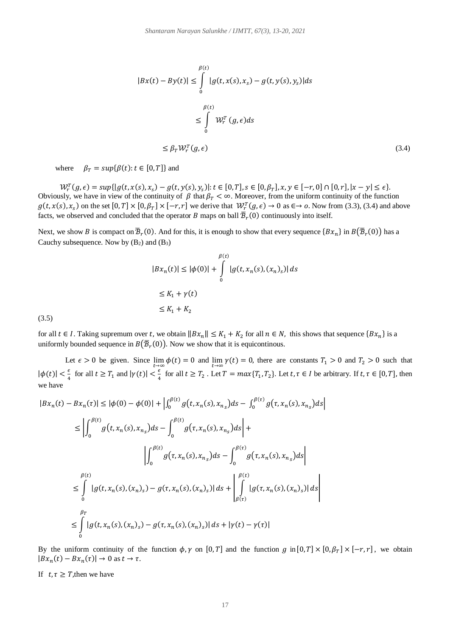$$
|Bx(t) - By(t)| \leq \int_{0}^{\beta(t)} |g(t, x(s), x_s) - g(t, y(s), y_s)| ds
$$
  

$$
\leq \int_{0}^{\beta(t)} W_r^T(g, \epsilon) ds
$$
  

$$
\leq \beta_T W_r^T(g, \epsilon)
$$
 (3.4)

where  $\beta_T = \sup \{ \beta(t) : t \in [0, T] \}$  and

 $\mathcal{W}_r^T(g, \epsilon) = \sup\{|g(t, x(s), x_s) - g(t, y(s), y_s)|: t \in [0, T], s \in [0, \beta_T], x, y \in [-r, 0] \cap [0, r], |x - y| \le \epsilon\}.$ Obviously, we have in view of the continuity of  $\beta$  that  $\beta_T < \infty$ . Moreover, from the uniform continuity of the function  $g(t, x(s), x_s)$  on the set  $[0,T] \times [0, \beta_T] \times [-r, r]$  we derive that  $\mathcal{W}_r^T(g, \epsilon) \to 0$  as  $\epsilon \to \infty$ . Now from (3.3), (3.4) and above facts, we observed and concluded that the operator B maps on ball  $\bar{B}_r(0)$  continuously into itself.

Next, we show B is compact on  $\bar{B}_r(0)$ . And for this, it is enough to show that every sequence  $\{Bx_n\}$  in  $B(\bar{B}_r(0))$  has a Cauchy subsequence. Now by  $(B_2)$  and  $(B_3)$ 

$$
|Bx_n(t)| \le |\phi(0)| + \int_0^{\beta(t)} |g(t, x_n(s), (x_n)_s)| ds
$$
  
\n
$$
\le K_1 + \gamma(t)
$$
  
\n
$$
\le K_1 + K_2
$$

for all  $t \in I$ . Taking supremum over t, we obtain  $||Bx_n|| \le K_1 + K_2$  for all  $n \in N$ , this shows that sequence  $\{Bx_n\}$  is a uniformly bounded sequence in  $B\big(\overline{\mathcal{B}}_r(0)\big)$ . Now we show that it is equicontinous.

Let  $\epsilon > 0$  be given. Since  $\lim_{t \to \infty} \phi(t) = 0$  and  $\lim_{t \to \infty} \gamma(t) = 0$ , there are constants  $T_1 > 0$  and  $T_2 > 0$  such that  $|\phi(t)| < \frac{\epsilon}{4}$  $\frac{\epsilon}{4}$  for all  $t \geq T_1$  and  $|\gamma(t)| < \frac{\epsilon}{4}$  $\frac{\epsilon}{4}$  for all  $t \geq T_2$ . Let  $T = max\{T_1, T_2\}$ . Let  $t, \tau \in I$  be arbitrary. If  $t, \tau \in [0, T]$ , then we have

$$
|Bx_n(t) - Bx_n(\tau)| \le |\phi(0) - \phi(0)| + \left| \int_0^{\beta(t)} g(t, x_n(s), x_{n_s}) ds - \int_0^{\beta(\tau)} g(\tau, x_n(s), x_{n_s}) ds \right|
$$
  

$$
\le \left| \int_0^{\beta(t)} g(t, x_n(s), x_{n_s}) ds - \int_0^{\beta(t)} g(\tau, x_n(s), x_{n_s}) ds \right| +
$$
  

$$
\left| \int_0^{\beta(t)} g(\tau, x_n(s), x_{n_s}) ds - \int_0^{\beta(\tau)} g(\tau, x_n(s), x_{n_s}) ds \right|
$$
  

$$
\le \int_0^{\beta(t)} |g(t, x_n(s), (x_n)_s) - g(\tau, x_n(s), (x_n)_s)| ds + \left| \int_{\beta(\tau)}^{\beta(t)} |g(\tau, x_n(s), (x_n)_s)| ds \right|
$$
  

$$
\le \int_0^{\beta_T} |g(t, x_n(s), (x_n)_s) - g(\tau, x_n(s), (x_n)_s)| ds + |\gamma(t) - \gamma(\tau)|
$$

By the uniform continuity of the function  $\phi$ ,  $\gamma$  on [0, T] and the function  $g$  in [0, T] × [0,  $\beta$ <sub>T</sub>] × [-r, r], we obtain  $|Bx_n(t) - Bx_n(\tau)| \to 0$  as  $t \to \tau$ .

If  $t, \tau \geq T$ , then we have

 $(3.5)$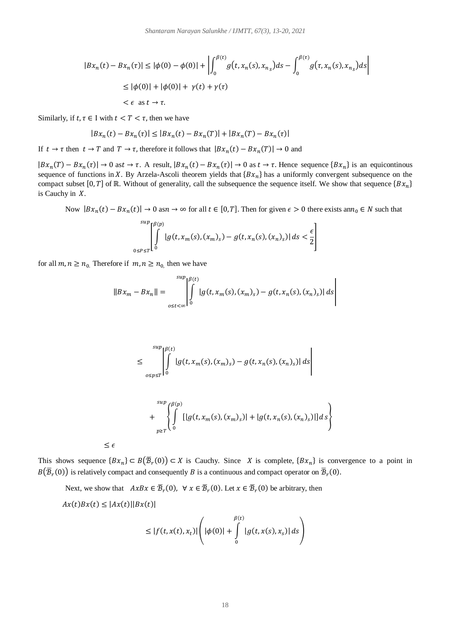$$
|Bx_n(t) - Bx_n(\tau)| \le |\phi(0) - \phi(0)| + \left| \int_0^{\beta(t)} g(t, x_n(s), x_{n_s}) ds - \int_0^{\beta(\tau)} g(\tau, x_n(s), x_{n_s}) ds \right|
$$
  

$$
\le |\phi(0)| + |\phi(0)| + \gamma(t) + \gamma(\tau)
$$
  

$$
< \epsilon \text{ as } t \to \tau.
$$

Similarly, if  $t, \tau \in I$  with  $t < T < \tau$ , then we have

$$
|Bx_n(t) - Bx_n(\tau)| \le |Bx_n(t) - Bx_n(T)| + |Bx_n(T) - Bx_n(\tau)|
$$

If  $t \to \tau$  then  $t \to T$  and  $T \to \tau$ , therefore it follows that  $|Bx_n(t) - Bx_n(T)| \to 0$  and

 $|Bx_n(T) - Bx_n(\tau)| \to 0$  as  $t \to \tau$ . A result,  $|Bx_n(t) - Bx_n(\tau)| \to 0$  as  $t \to \tau$ . Hence sequence  $\{Bx_n\}$  is an equicontinous sequence of functions in X. By Arzela-Ascoli theorem yields that  ${Bx_n}$  has a uniformly convergent subsequence on the compact subset [0, T] of ℝ. Without of generality, call the subsequence the sequence itself. We show that sequence  ${Bx_n}$ is Cauchy in  $X$ .

Now  $|Bx_n(t) - Bx_n(t)| \to 0$  as  $n \to \infty$  for all  $t \in [0, T]$ . Then for given  $\epsilon > 0$  there exists an  $n_0 \in N$  such that

$$
\int_{0\leq P\leq T}^{\sup} \left[ \int_{0}^{\beta(p)} |g(t,x_m(s),(x_m)_s) - g(t,x_n(s),(x_n)_s)| \, ds < \frac{\epsilon}{2} \right]
$$

for all  $m, n \geq n_0$ . Therefore if  $m, n \geq n_0$ , then we have

$$
||Bx_m - Bx_n|| = \int_{0 \le t < \infty}^{sup} \left| \int_{0}^{g(t)} |g(t, x_m(s), (x_m)_s) - g(t, x_n(s), (x_n)_s)| ds \right|
$$

$$
\leq \int_{0\leq p\leq T}^{\sup} \left| \int_{0}^{\beta(t)} |g(t, x_m(s), (x_m)_s) - g(t, x_n(s), (x_n)_s)| ds \right|
$$

$$
+\int_{p\geq T}^{\sup}\left\{\int\limits_{0}^{\beta(p)}[|g(t,x_m(s),(x_m)_s)|+|g(t,x_n(s),(x_n)_s)|]ds\right\}
$$

 $\leq \epsilon$ 

This shows sequence  $\{Bx_n\} \subset B(\overline{B}_r(0)) \subset X$  is Cauchy. Since X is complete,  $\{Bx_n\}$  is convergence to a point in  $B(\overline{B}_r(0))$  is relatively compact and consequently B is a continuous and compact operator on  $\overline{B}_r(0)$ .

Next, we show that  $AxBx \in \overline{B}_r(0)$ ,  $\forall x \in \overline{B}_r(0)$ . Let  $x \in \overline{B}_r(0)$  be arbitrary, then

$$
Ax(t)Bx(t) \le |Ax(t)||Bx(t)|
$$

$$
\leq |f(t, x(t), x_t)| \left( |\phi(0)| + \int_{0}^{\beta(t)} |g(t, x(s), x_s)| ds \right)
$$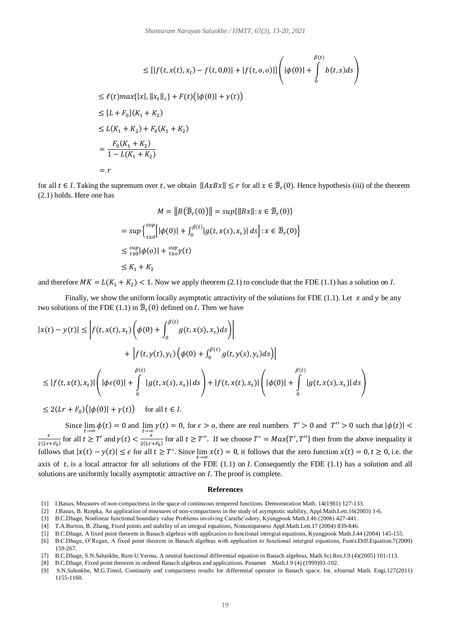$$
\leq [|f(t, x(t), x_t) - f(t, 0, 0)| + |f(t, 0, 0)|] \left( |\phi(0)| + \int_{0}^{\beta(t)} b(t, s) ds \right)
$$
  
\n
$$
\leq \ell(t) \max\{|x|, \|x_t\|_{c}\} + F(t) (|\phi(0)| + \gamma(t))
$$
  
\n
$$
\leq [L + F_0](K_1 + K_2)
$$
  
\n
$$
\leq L(K_1 + K_2) + F_0(K_1 + K_2)
$$
  
\n
$$
= \frac{F_0(K_1 + K_2)}{1 - L(K_1 + K_2)}
$$
  
\n
$$
= r
$$

for all  $t \in I$ . Taking the supremum over t, we obtain  $||AxBx|| \le r$  for all  $x \in \overline{B}_r(0)$ . Hence hypothesis (iii) of the theorem (2.1) holds. Here one has

$$
M = ||B(\overline{\mathcal{B}}_r(0))|| = \sup{||Bx|| : x \in \overline{\mathcal{B}}_r(0)}\}
$$
  
= 
$$
\sup \left\{ \sup_{t \ge 0} [|\phi(0)| + \int_0^{\beta(t)} |g(t, x(s), x_s)| ds \right\} : x \in \overline{\mathcal{B}}_r(0) \right\}
$$
  

$$
\le \sup_{t \ge 0} |\phi(0)| + \sup_{t \ge 0} \gamma(t)
$$
  

$$
\le K_1 + K_2
$$

and therefore  $MK = L(K_1 + K_2) < 1$ . Now we apply theorem (2.1) to conclude that the FDE (1.1) has a solution on I.

Finally, we show the uniform locally asymptotic attractivity of the solutions for FDE (1.1). Let  $x$  and  $y$  be any two solutions of the FDE (1.1) in  $\overline{\mathcal{B}}_r(0)$  defined on *I*. Then we have

$$
|x(t) - y(t)| \le \left| f(t, x(t), x_t) \left( \phi(0) + \int_0^{\beta(t)} g(t, x(s), x_s) ds \right) \right|
$$
  
+ 
$$
\left| f(t, y(t), y_t) \left( \phi(0) + \int_0^{\beta(t)} g(t, y(s), y_s) ds \right) \right|
$$
  

$$
\le |f(t, x(t), x_t)| \left( |\phi \epsilon(0)| + \int_0^{\beta(t)} |g(t, x(s), x_s)| ds \right) + |f(t, x(t), x_t)| \left( |\phi(0)| + \int_0^{\beta(t)} |g(t, x(s), x_s)| ds \right)
$$

$$
\leq 2(Lr + F_0)\big(|\phi(0)| + \gamma(t)\big) \quad \text{ for all } t \in I.
$$

Since  $\lim_{t\to\infty}\phi(t) = 0$  and  $\lim_{t\to\infty}\gamma(t) = 0$ , for  $\epsilon > 0$ , there are real numbers  $T' > 0$  and  $T'' > 0$  such that  $|\phi(t)| <$  $\epsilon$  $\frac{\epsilon}{2(Lr+F_0)}$  for all  $t \geq T'$  and  $\gamma(t) < \frac{\epsilon}{2(Lr)}$  $\frac{\epsilon}{2(Lr+F_0)}$  for all  $t \geq T''$ . If we choose  $T^* = Max\{T', T''\}$  then from the above inequality it follows that  $|x(t) - y(t)| \le \epsilon$  for all  $t \ge T^*$ . Since  $\lim_{t \to \infty} x(t) = 0$ , it follows that the zero function  $x(t) = 0, t \ge 0$ , i.e. the axis of  $t$ , is a local attractor for all solutions of the FDE (1.1) on *I*. Consequently the FDE (1.1) has a solution and all solutions are uniformly locally asymptotic attractive on *I*. The proof is complete.

#### **References**

- [1] I.Banas, Measures of non-compactness in the space of continuous tempered functions. Demonstration Math. 14(1981) 127-133.
- [2] J.Banas, B. Rzepka, An application of measures of non-compactness in the study of asymptotic stability, Appl.Math.Lett.16(2003) 1-6.
- [3] B.C.Dhage, Nonlinear functional boundary value Problems involving Carathe'odory, Kyungpook Math.J.46 (2006) 427-441.
- [4] T.A.Burton, B. Zhang, Fixed points and stability of an integral equations, Nonuniqueness Appl.Math.Lett.17 (2004) 839-846.
- [5] B.C.Dhage, A fixed point theorem in Banach algebras with application to functional intergral equations, Kyungpook Math.J.44 (2004) 145-155.
- [6] B.C.Dhage, O'Regan, A fixed point theorem in Banach algebras with application to functional intergral equations, Funct.Diff.Equation.7(2000) 159-267.
- [7] B.C.Dhage, S.N.Salunkhe, Ram U.Verma, A neutral functional differential equation in Banach algebras, Math.Sci.Res.J.9 (4)(2005) 101-113.
- [8] B.C.Dhage, Fixed point theorem in ordered Banach algebras and applications. Panamet .Math.J.9 (4) (1999)93-102.
- [9] S.N.Salunkhe, M.G.Timol, Continuity and compactness results for differential operator in Banach space. Int. eJournal Math. Engi.127(2011) 1155-1160.